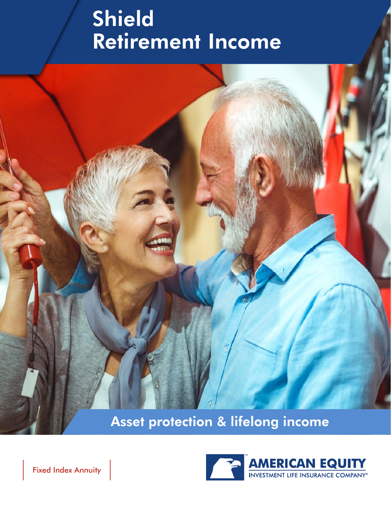## Shield Retirement Income



Asset protection & lifelong income

Fixed Index Annuity

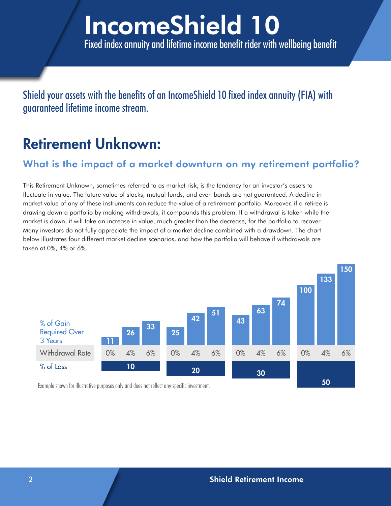## IncomeShield 10 Fixed index annuity and lifetime income benefit rider with wellbeing benefit

Shield your assets with the benefits of an IncomeShield 10 fixed index annuity (FIA) with guaranteed lifetime income stream.

### Retirement Unknown:

#### What is the impact of a market downturn on my retirement portfolio?

This Retirement Unknown, sometimes referred to as market risk, is the tendency for an investor's assets to fluctuate in value. The future value of stocks, mutual funds, and even bonds are not guaranteed. A decline in market value of any of these instruments can reduce the value of a retirement portfolio. Moreover, if a retiree is drawing down a portfolio by making withdrawals, it compounds this problem. If a withdrawal is taken while the market is down, it will take an increase in value, much greater than the decrease, for the portfolio to recover. Many investors do not fully appreciate the impact of a market decline combined with a drawdown. The chart below illustrates four different market decline scenarios, and how the portfolio will behave if withdrawals are taken at 0%, 4% or 6%.



Example shown for illustrative purposes only and does not reflect any specific investment.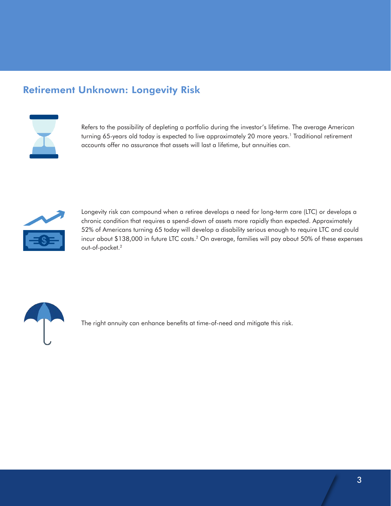#### Retirement Unknown: Longevity Risk



Refers to the possibility of depleting a portfolio during the investor's lifetime. The average American turning 65-years old today is expected to live approximately 20 more years.<sup>1</sup> Traditional retirement accounts offer no assurance that assets will last a lifetime, but annuities can.



Longevity risk can compound when a retiree develops a need for long-term care (LTC) or develops a chronic condition that requires a spend-down of assets more rapidly than expected. Approximately 52% of Americans turning 65 today will develop a disability serious enough to require LTC and could incur about \$138,000 in future LTC costs.2 On average, families will pay about 50% of these expenses out-of-pocket.2



The right annuity can enhance benefits at time-of-need and mitigate this risk.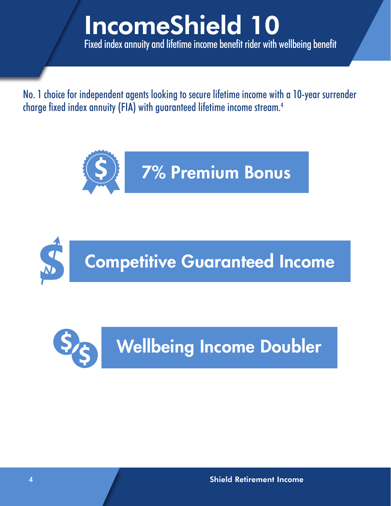## IncomeShield 10 Fixed index annuity and lifetime income benefit rider with wellbeing benefit

No. 1 choice for independent agents looking to secure lifetime income with a 10-year surrender charge fixed index annuity (FIA) with guaranteed lifetime income stream.4





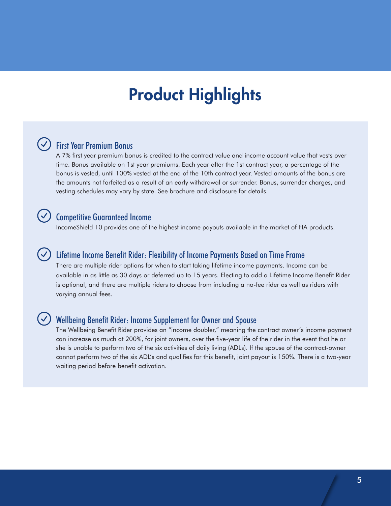## Product Highlights

#### $\vee$ ) First Year Premium Bonus

A 7% first year premium bonus is credited to the contract value and income account value that vests over time. Bonus available on 1st year premiums. Each year after the 1st contract year, a percentage of the bonus is vested, until 100% vested at the end of the 10th contract year. Vested amounts of the bonus are the amounts not forfeited as a result of an early withdrawal or surrender. Bonus, surrender charges, and vesting schedules may vary by state. See brochure and disclosure for details.

#### Competitive Guaranteed Income

IncomeShield 10 provides one of the highest income payouts available in the market of FIA products.

#### Lifetime Income Benefit Rider: Flexibility of Income Payments Based on Time Frame

There are multiple rider options for when to start taking lifetime income payments. Income can be available in as little as 30 days or deferred up to 15 years. Electing to add a Lifetime Income Benefit Rider is optional, and there are multiple riders to choose from including a no-fee rider as well as riders with varying annual fees.

#### Wellbeing Benefit Rider: Income Supplement for Owner and Spouse

The Wellbeing Benefit Rider provides an "income doubler," meaning the contract owner's income payment can increase as much at 200%, for joint owners, over the five-year life of the rider in the event that he or she is unable to perform two of the six activities of daily living (ADLs). If the spouse of the contract-owner cannot perform two of the six ADL's and qualifies for this benefit, joint payout is 150%. There is a two-year waiting period before benefit activation.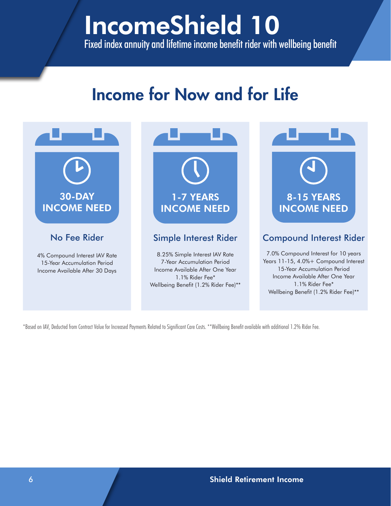## IncomeShield 10 Fixed index annuity and lifetime income benefit rider with wellbeing benefit

## Income for Now and for Life



\*Based on IAV, Deducted from Contract Value for Increased Payments Related to Significant Care Costs. \*\*Wellbeing Benefit available with additional 1.2% Rider Fee.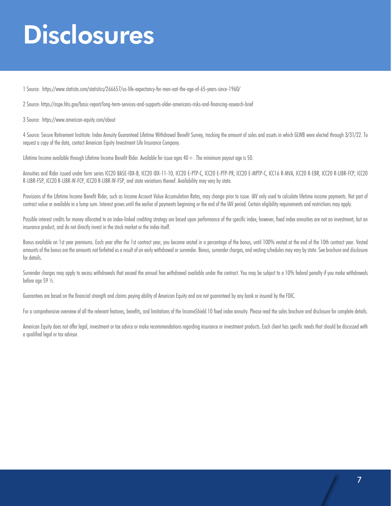## **Disclosures**

1 Source: https://www.statista.com/statistics/266657/us-life-expectancy-for-men-aat-the-age-of-65-years-since-1960/

2 Source: https://aspe.hhs.gov/basic-report/long-term-services-and-supports-older-americans-risks-and-financing-research-brief

3 Source: https://www.american-equity.com/about

4 Source: Secure Retirement Institute: Index Annuity Guaranteed Lifetime Withdrawal Benefit Survey, tracking the amount of sales and assets in which GLWB were elected through 3/31/22. To request a copy of the data, contact American Equity Investment Life Insurance Company.

Lifetime Income available through Lifetime Income Benefit Rider. Available for issue ages  $40 +$ . The minimum payout age is 50.

Annuities and Rider issued under form series ICC20 BASE-IDX-B, ICC20 IDX-11-10, ICC20 E-PTP-C, ICC20 E-PTP-PR, ICC20 E-MPTP-C, ICC16 R-MVA, ICC20 R-EBR, ICC20 R-LIBR-FCP, ICC20 R-LIBR-FSP, ICC20 R-LIBR-W-FCP, ICC20 R-LIBR-W-FSP, and state variations thereof. Availability may vary by state.

Provisions of the Lifetime Income Benefit Rider, such as Income Account Value Accumulation Rates, may change prior to issue. IAV only used to calculate lifetime income payments. Not part of contract value or available in a lump sum. Interest grows until the earlier of payments beginning or the end of the IAV period. Certain eligibility requirements and restrictions may apply.

Possible interest credits for money allocated to an index-linked crediting strategy are based upon performance of the specific index; however, fixed index annuities are not an investment, but an insurance product, and do not directly invest in the stock market or the index itself.

Bonus available on 1st year premiums. Each year after the 1st contract year, you become vested in a percentage of the bonus, until 100% vested at the end of the 10th contract year. Vested amounts of the bonus are the amounts not forfeited as a result of an early withdrawal or surrender. Bonus, surrender charges, and vesting schedules may vary by state. See brochure and disclosure for details.

Surrender charges may apply to excess withdrawals that exceed the annual free withdrawal available under the contract. You may be subject to a 10% federal penalty if you make withdrawals before age 59 1/2.

Guarantees are based on the financial strength and claims paying ability of American Equity and are not guaranteed by any bank or insured by the FDIC.

For a comprehensive overview of all the relevant features, benefits, and limitations of the IncomeShield 10 fixed index annuity. Please read the sales brochure and disclosure for complete details.

American Equity does not offer legal, investment or tax advice or make recommendations regarding insurance or investment products. Each client has specific needs that should be discussed with a qualified legal or tax advisor.